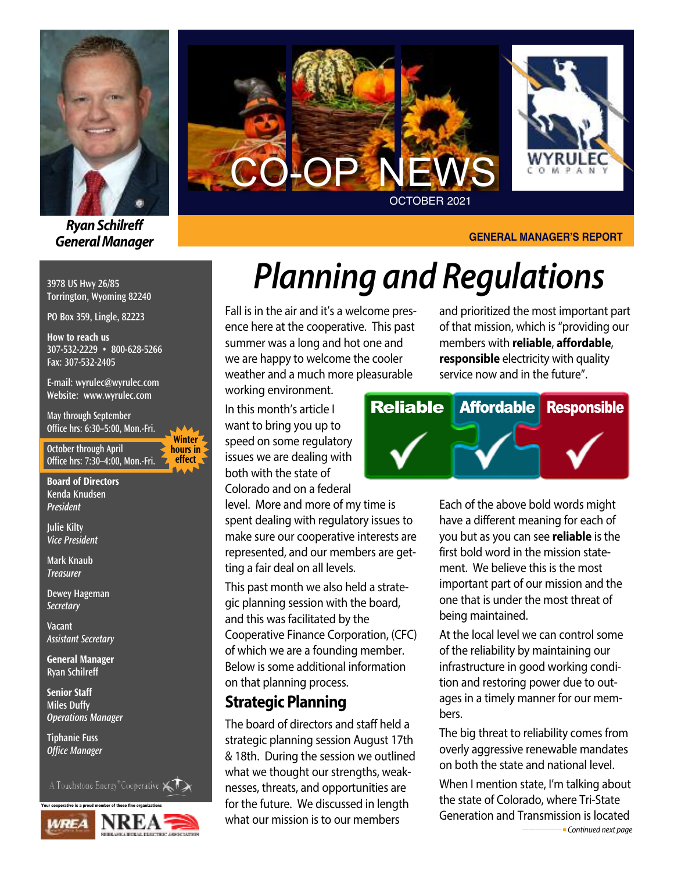

*RyanSchilreff General Manager*

#### **3978 US Hwy 26/85 Torrington, Wyoming 82240**

**PO Box 359, Lingle, 82223**

**How to reach us 307-532-2229 • 800-628-5266 Fax: 307-532-2405**

**E-mail: wyrulec@wyrulec.com Website: www.wyrulec.com**

**May through September Office hrs: 6:30–5:00, Mon.-Fri.**

**October through April Office hrs: 7:30–4:00, Mon.-Fri.**

**Winter hours in effect** 

**Board of Directors Kenda Knudsen** *President*

**Julie Kilty** *Vice President*

**Mark Knaub** *Treasurer*

**Dewey Hageman** *Secretary*

**Vacant** *Assistant Secretary*

**General Manager Ryan Schilreff**

**Senior Staff Miles Duffy** *Operations Manager*

**Tiphanie Fuss** *Office Manager*

A Touchstone Energy<sup>®</sup>Cooperative  $\leftarrow$ 





#### **GENERAL MANAGER'S REPORT**

# *Planning and Regulations*

Fall is in the air and it's a welcome presence here at the cooperative. This past summer was a long and hot one and we are happy to welcome the cooler weather and a much more pleasurable

working environment.

In this month's article I want to bring you up to speed on some regulatory issues we are dealing with both with the state of Colorado and on a federal

level. More and more of my time is spent dealing with regulatory issues to make sure our cooperative interests are represented, and our members are getting a fair deal on all levels.

This past month we also held a strategic planning session with the board, and this was facilitated by the Cooperative Finance Corporation, (CFC) of which we are a founding member. Below is some additional information on that planning process.

### **Strategic Planning**

The board of directors and staff held a strategic planning session August 17th & 18th. During the session we outlined what we thought our strengths, weaknesses, threats, and opportunities are for the future. We discussed in length what our mission is to our members

and prioritized the most important part of that mission, which is "providing our members with **reliable**, **affordable**, **responsible** electricity with quality service now and in the future".



Each of the above bold words might have a different meaning for each of you but as you can see **reliable** is the first bold word in the mission statement. We believe this is the most important part of our mission and the one that is under the most threat of being maintained.

At the local level we can control some of the reliability by maintaining our infrastructure in good working condition and restoring power due to outages in a timely manner for our members.

The big threat to reliability comes from overly aggressive renewable mandates on both the state and national level.

When I mention state, I'm talking about the state of Colorado, where Tri-State Generation and Transmission is located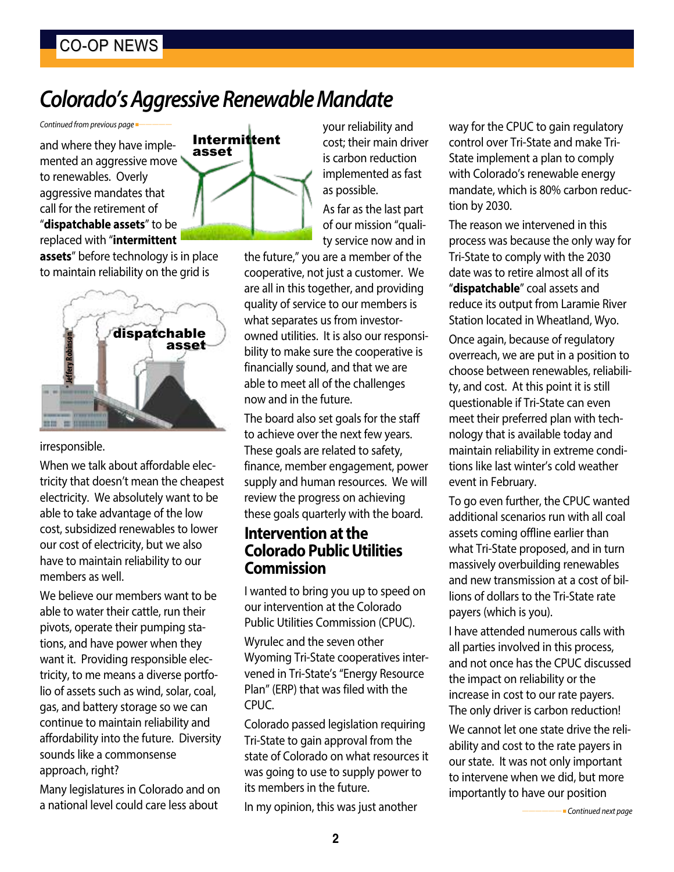# **Colorado's Aggressive Renewable Mandate**

*Continued from previous page* 

and where they have implemented an aggressive move to renewables. Overly aggressive mandates that call for the retirement of "**dispatchable assets**" to be replaced with "**intermittent**

**assets**" before technology is in place to maintain reliability on the grid is



#### irresponsible.

When we talk about affordable electricity that doesn't mean the cheapest electricity. We absolutely want to be able to take advantage of the low cost, subsidized renewables to lower our cost of electricity, but we also have to maintain reliability to our members as well.

We believe our members want to be able to water their cattle, run their pivots, operate their pumping stations, and have power when they want it. Providing responsible electricity, to me means a diverse portfolio of assets such as wind, solar, coal, gas, and battery storage so we can continue to maintain reliability and affordability into the future. Diversity sounds like a commonsense approach, right?

Many legislatures in Colorado and on a national level could care less about



your reliability and cost; their main driver is carbon reduction implemented as fast as possible.

As far as the last part of our mission "quality service now and in

the future," you are a member of the cooperative, not just a customer. We are all in this together, and providing quality of service to our members is what separates us from investorowned utilities. It is also our responsibility to make sure the cooperative is financially sound, and that we are able to meet all of the challenges now and in the future.

The board also set goals for the staff to achieve over the next few years. These goals are related to safety, finance, member engagement, power supply and human resources. We will review the progress on achieving these goals quarterly with the board.

### **Intervention** at the **Colorado PublicUtilities Commission**

I wanted to bring you up to speed on our intervention at the Colorado Public Utilities Commission (CPUC).

Wyrulec and the seven other Wyoming Tri-State cooperatives intervened in Tri-State's "Energy Resource Plan" (ERP) that was filed with the CPUC.

Colorado passed legislation requiring Tri-State to gain approval from the state of Colorado on what resources it was going to use to supply power to its members in the future.

In my opinion, this was just another

way for the CPUC to gain regulatory control over Tri-State and make Tri-State implement a plan to comply with Colorado's renewable energy mandate, which is 80% carbon reduction by 2030.

The reason we intervened in this process was because the only way for Tri-State to comply with the 2030 date was to retire almost all of its "**dispatchable**" coal assets and reduce its output from Laramie River Station located in Wheatland, Wyo.

Once again, because of regulatory overreach, we are put in a position to choose between renewables, reliability, and cost. At this point it is still questionable if Tri-State can even meet their preferred plan with technology that is available today and maintain reliability in extreme conditions like last winter's cold weather event in February.

To go even further, the CPUC wanted additional scenarios run with all coal assets coming offline earlier than what Tri-State proposed, and in turn massively overbuilding renewables and new transmission at a cost of billions of dollars to the Tri-State rate payers (which is you).

I have attended numerous calls with all parties involved in this process, and not once has the CPUC discussed the impact on reliability or the increase in cost to our rate payers. The only driver is carbon reduction!

We cannot let one state drive the reliability and cost to the rate payers in our state. It was not only important to intervene when we did, but more importantly to have our position

*——————* <sup>n</sup> *Continued next page*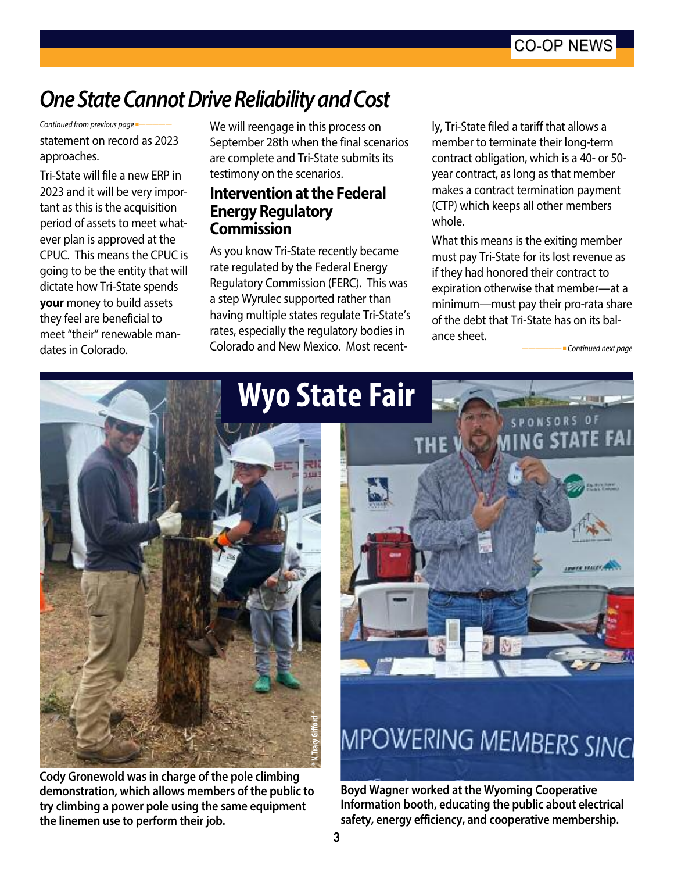## *OneStateCannotDriveReliabilityandCost*

statement on record as 2023 approaches. *Continued from previous page* 

Tri-State will file a new ERP in 2023 and it will be very important as this is the acquisition period of assets to meet whatever plan is approved at the CPUC. This means the CPUC is going to be the entity that will dictate how Tri-State spends **your** money to build assets they feel are beneficial to meet "their" renewable mandates in Colorado.

We will reengage in this process on September 28th when the final scenarios are complete and Tri-State submits its testimony on the scenarios.

#### **Intervention** at the **Federal Energy Regulatory Commission**

As you know Tri-State recently became rate regulated by the Federal Energy Regulatory Commission (FERC). This was a step Wyrulec supported rather than having multiple states regulate Tri-State's rates, especially the regulatory bodies in Colorado and New Mexico. Most recent-

ly, Tri-State filed a tariff that allows a member to terminate their long-term contract obligation, which is a 40- or 50 year contract, as long as that member makes a contract termination payment (CTP) which keeps all other members whole.

What this means is the exiting member must pay Tri-State for its lost revenue as if they had honored their contract to expiration otherwise that member—at a minimum—must pay their pro-rata share of the debt that Tri-State has on its balance sheet.

*——————* <sup>n</sup> *Continued next page*



**Cody Gronewold was in charge of the pole climbing demonstration, which allows members of the public to try climbing a power pole using the same equipment the linemen use to perform their job.**



**Boyd Wagner worked at the Wyoming Cooperative Information booth, educating the public about electrical safety, energy efficiency, and cooperative membership.**